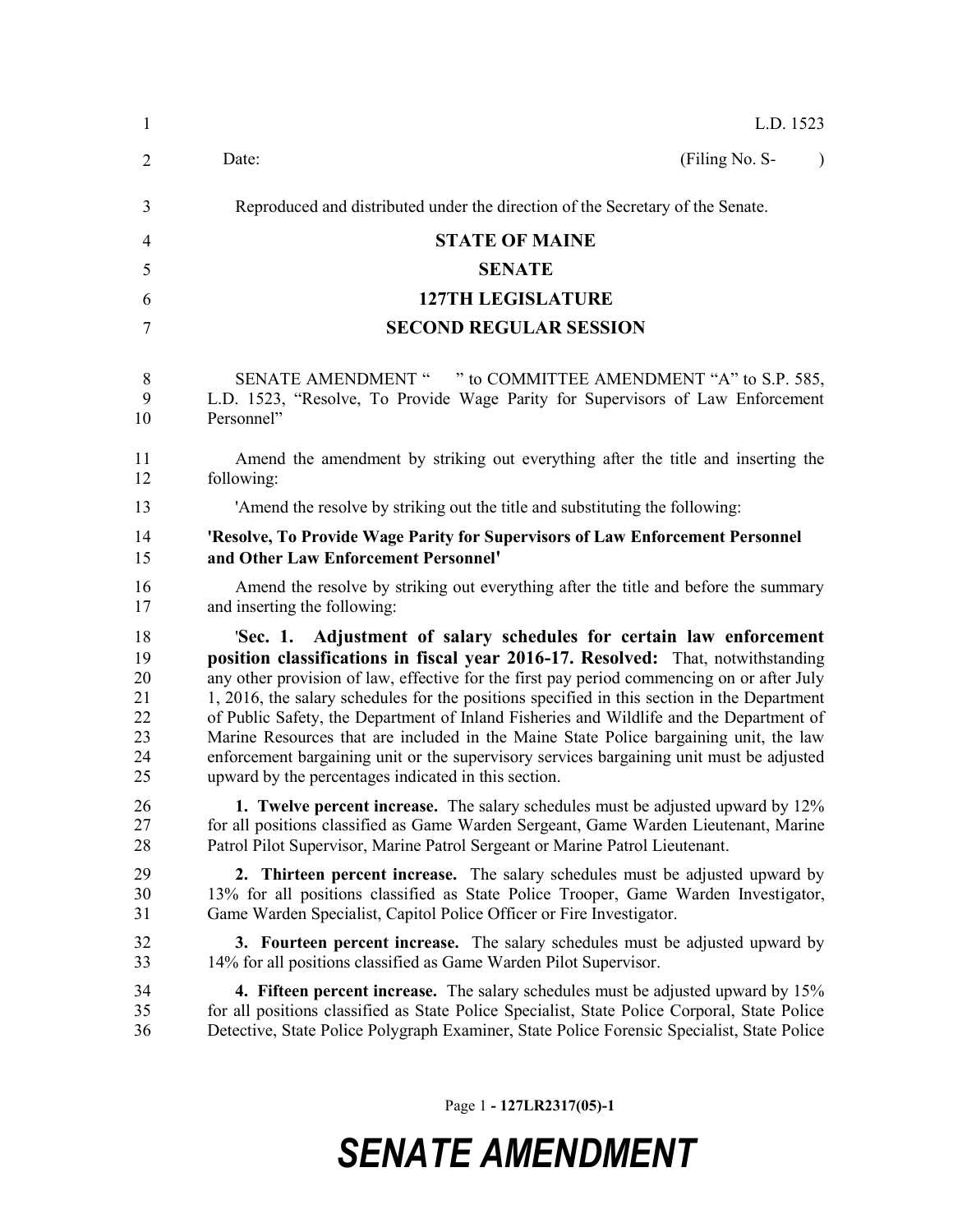| $\mathbf{1}$   | L.D. 1523                                                                                    |
|----------------|----------------------------------------------------------------------------------------------|
| $\overline{2}$ | (Filing No. S-<br>Date:<br>$\lambda$                                                         |
| 3              | Reproduced and distributed under the direction of the Secretary of the Senate.               |
| 4              | <b>STATE OF MAINE</b>                                                                        |
| 5              | <b>SENATE</b>                                                                                |
| 6              | <b>127TH LEGISLATURE</b>                                                                     |
| 7              | <b>SECOND REGULAR SESSION</b>                                                                |
| 8              | SENATE AMENDMENT " " to COMMITTEE AMENDMENT "A" to S.P. 585,                                 |
| 9              | L.D. 1523, "Resolve, To Provide Wage Parity for Supervisors of Law Enforcement               |
| 10             | Personnel"                                                                                   |
| 11             | Amend the amendment by striking out everything after the title and inserting the             |
| 12             | following:                                                                                   |
| 13             | 'Amend the resolve by striking out the title and substituting the following:                 |
| 14             | 'Resolve, To Provide Wage Parity for Supervisors of Law Enforcement Personnel                |
| 15             | and Other Law Enforcement Personnel'                                                         |
| 16             | Amend the resolve by striking out everything after the title and before the summary          |
| 17             | and inserting the following:                                                                 |
| 18             | 'Sec. 1. Adjustment of salary schedules for certain law enforcement                          |
| 19             | position classifications in fiscal year 2016-17. Resolved: That, notwithstanding             |
| 20             | any other provision of law, effective for the first pay period commencing on or after July   |
| 21             | 1, 2016, the salary schedules for the positions specified in this section in the Department  |
| 22             | of Public Safety, the Department of Inland Fisheries and Wildlife and the Department of      |
| 23             | Marine Resources that are included in the Maine State Police bargaining unit, the law        |
| 24             | enforcement bargaining unit or the supervisory services bargaining unit must be adjusted     |
| 25             | upward by the percentages indicated in this section.                                         |
| 26             | <b>1. Twelve percent increase.</b> The salary schedules must be adjusted upward by 12%       |
| 27             | for all positions classified as Game Warden Sergeant, Game Warden Lieutenant, Marine         |
| 28             | Patrol Pilot Supervisor, Marine Patrol Sergeant or Marine Patrol Lieutenant.                 |
| 29             | 2. Thirteen percent increase. The salary schedules must be adjusted upward by                |
| 30             | 13% for all positions classified as State Police Trooper, Game Warden Investigator,          |
| 31             | Game Warden Specialist, Capitol Police Officer or Fire Investigator.                         |
| 32             | <b>3. Fourteen percent increase.</b> The salary schedules must be adjusted upward by         |
| 33             | 14% for all positions classified as Game Warden Pilot Supervisor.                            |
| 34             | <b>4. Fifteen percent increase.</b> The salary schedules must be adjusted upward by 15%      |
| 35             | for all positions classified as State Police Specialist, State Police Corporal, State Police |
| 36             | Detective, State Police Polygraph Examiner, State Police Forensic Specialist, State Police   |

Page 1 **- 127LR2317(05)-1**

## *SENATE AMENDMENT*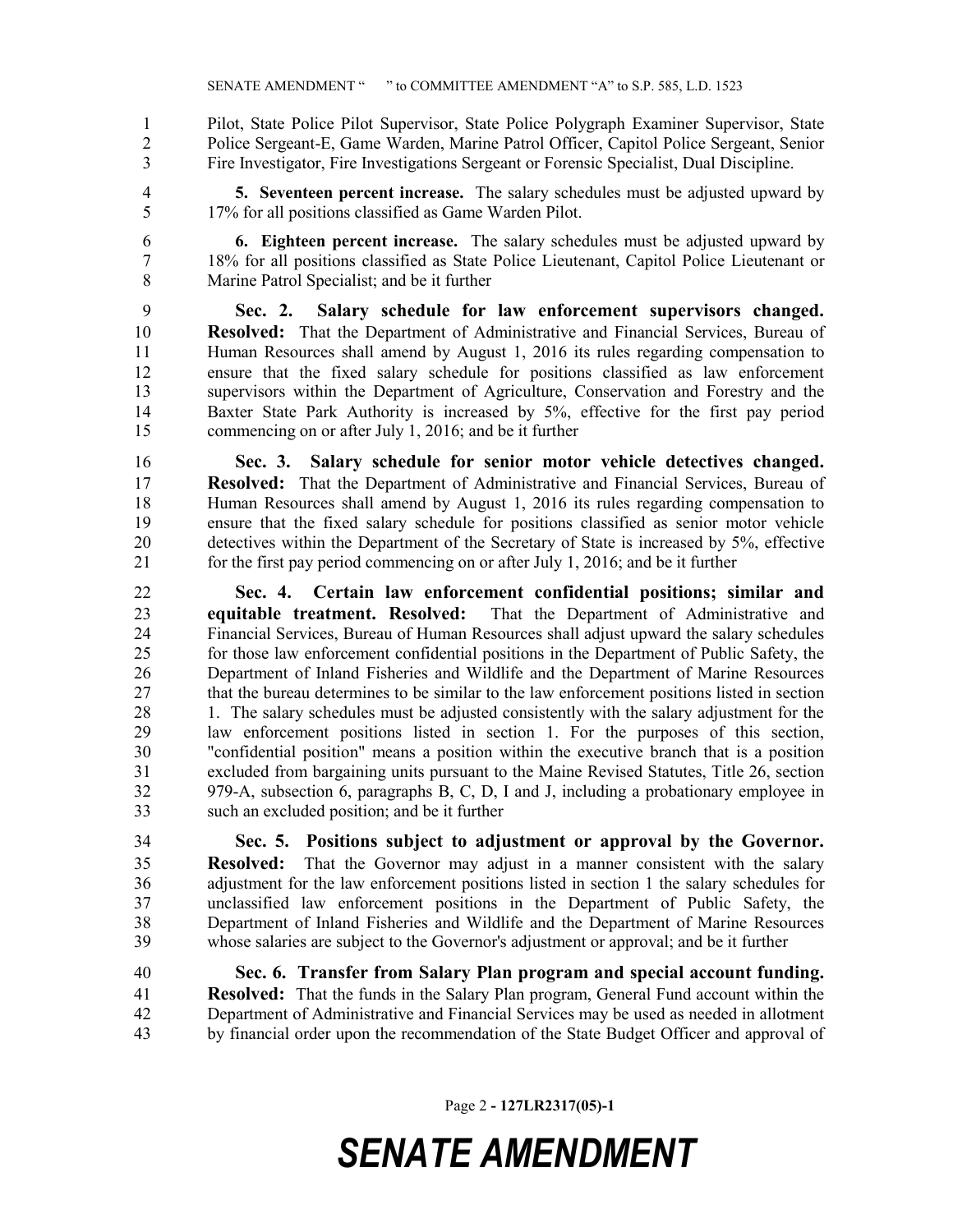Pilot, State Police Pilot Supervisor, State Police Polygraph Examiner Supervisor, State Police Sergeant-E, Game Warden, Marine Patrol Officer, Capitol Police Sergeant, Senior Fire Investigator, Fire Investigations Sergeant or Forensic Specialist, Dual Discipline.

 **5. Seventeen percent increase.** The salary schedules must be adjusted upward by 17% for all positions classified as Game Warden Pilot.

 **6. Eighteen percent increase.** The salary schedules must be adjusted upward by 18% for all positions classified as State Police Lieutenant, Capitol Police Lieutenant or Marine Patrol Specialist; and be it further

 **Sec. 2. Salary schedule for law enforcement supervisors changed. Resolved:** That the Department of Administrative and Financial Services, Bureau of Human Resources shall amend by August 1, 2016 its rules regarding compensation to ensure that the fixed salary schedule for positions classified as law enforcement supervisors within the Department of Agriculture, Conservation and Forestry and the Baxter State Park Authority is increased by 5%, effective for the first pay period commencing on or after July 1, 2016; and be it further

 **Sec. 3. Salary schedule for senior motor vehicle detectives changed. Resolved:** That the Department of Administrative and Financial Services, Bureau of Human Resources shall amend by August 1, 2016 its rules regarding compensation to ensure that the fixed salary schedule for positions classified as senior motor vehicle detectives within the Department of the Secretary of State is increased by 5%, effective for the first pay period commencing on or after July 1, 2016; and be it further

 **Sec. 4. Certain law enforcement confidential positions; similar and equitable treatment. Resolved:** That the Department of Administrative and Financial Services, Bureau of Human Resources shall adjust upward the salary schedules for those law enforcement confidential positions in the Department of Public Safety, the Department of Inland Fisheries and Wildlife and the Department of Marine Resources that the bureau determines to be similar to the law enforcement positions listed in section 28 1. The salary schedules must be adjusted consistently with the salary adjustment for the law enforcement positions listed in section 1. For the purposes of this section, "confidential position" means a position within the executive branch that is a position excluded from bargaining units pursuant to the Maine Revised Statutes, Title 26, section 979-A, subsection 6, paragraphs B, C, D, I and J, including a probationary employee in such an excluded position; and be it further

 **Sec. 5. Positions subject to adjustment or approval by the Governor. Resolved:** That the Governor may adjust in a manner consistent with the salary adjustment for the law enforcement positions listed in section 1 the salary schedules for unclassified law enforcement positions in the Department of Public Safety, the Department of Inland Fisheries and Wildlife and the Department of Marine Resources whose salaries are subject to the Governor's adjustment or approval; and be it further

 **Sec. 6. Transfer from Salary Plan program and special account funding. Resolved:** That the funds in the Salary Plan program, General Fund account within the Department of Administrative and Financial Services may be used as needed in allotment by financial order upon the recommendation of the State Budget Officer and approval of

Page 2 **- 127LR2317(05)-1**

## *SENATE AMENDMENT*